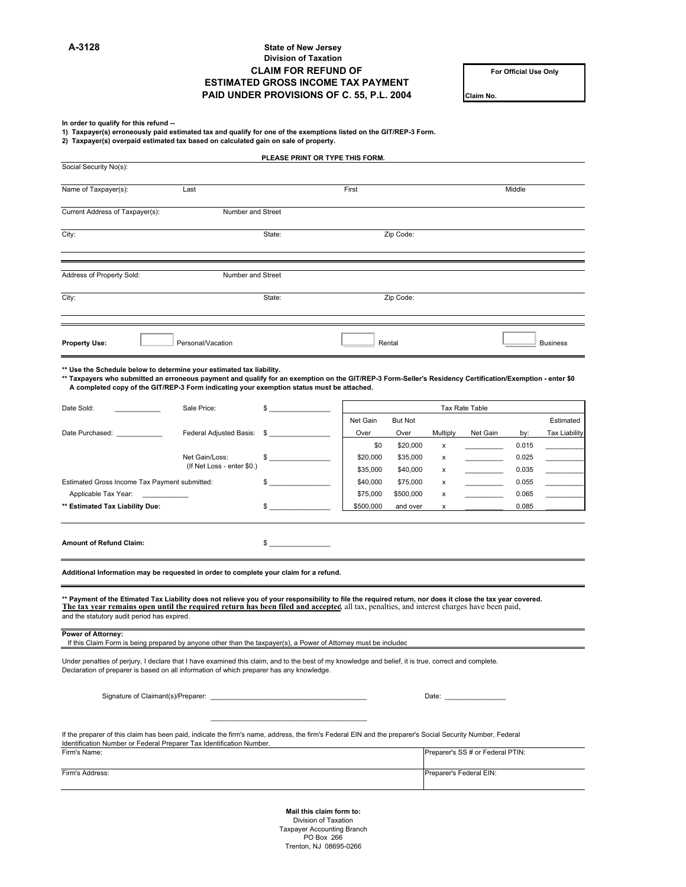## **A-3128 State of New Jersey Division of Taxation CLAIM FOR REFUND OF For Official Use Only ESTIMATED GROSS INCOME TAX PAYMENT** PAID UNDER PROVISIONS OF C. 55, P.L. 2004 **Claim No.**

In order to qualify for this refund --<br>1) Taxpayer(s) erroneously paid estimated tax and qualify for one of the exemptions listed on the GIT/REP-3 Form.<br>2) Taxpayer(s) overpaid estimated tax based on calculated gain on s

|                                                                                                                                                                                                                                                                                                                                                      | PLEASE PRINT OR TYPE THIS FORM. |           |                |                         |                                                                                                                                                                                                                                |        |                      |
|------------------------------------------------------------------------------------------------------------------------------------------------------------------------------------------------------------------------------------------------------------------------------------------------------------------------------------------------------|---------------------------------|-----------|----------------|-------------------------|--------------------------------------------------------------------------------------------------------------------------------------------------------------------------------------------------------------------------------|--------|----------------------|
| Social Security No(s):                                                                                                                                                                                                                                                                                                                               |                                 |           |                |                         |                                                                                                                                                                                                                                |        |                      |
| Name of Taxpayer(s):<br>Last                                                                                                                                                                                                                                                                                                                         |                                 | First     |                |                         |                                                                                                                                                                                                                                | Middle |                      |
| Current Address of Taxpayer(s):<br>Number and Street                                                                                                                                                                                                                                                                                                 |                                 |           |                |                         |                                                                                                                                                                                                                                |        |                      |
| City:                                                                                                                                                                                                                                                                                                                                                | State:                          |           | Zip Code:      |                         |                                                                                                                                                                                                                                |        |                      |
|                                                                                                                                                                                                                                                                                                                                                      |                                 |           |                |                         |                                                                                                                                                                                                                                |        |                      |
| Address of Property Sold:<br>Number and Street                                                                                                                                                                                                                                                                                                       |                                 |           |                |                         |                                                                                                                                                                                                                                |        |                      |
| City:                                                                                                                                                                                                                                                                                                                                                | State:                          |           | Zip Code:      |                         |                                                                                                                                                                                                                                |        |                      |
|                                                                                                                                                                                                                                                                                                                                                      |                                 |           |                |                         |                                                                                                                                                                                                                                |        |                      |
| <b>Property Use:</b><br>Personal/Vacation                                                                                                                                                                                                                                                                                                            |                                 |           | Rental         |                         |                                                                                                                                                                                                                                |        | <b>Business</b>      |
| ** Use the Schedule below to determine your estimated tax liability.<br>** Taxpayers who submitted an erroneous payment and qualify for an exemption on the GIT/REP-3 Form-Seller's Residency Certification/Exemption - enter \$0<br>A completed copy of the GIT/REP-3 Form indicating your exemption status must be attached.                       |                                 |           |                |                         |                                                                                                                                                                                                                                |        |                      |
| Date Sold:<br>Sale Price:                                                                                                                                                                                                                                                                                                                            | $\sim$                          |           |                |                         | Tax Rate Table                                                                                                                                                                                                                 |        |                      |
|                                                                                                                                                                                                                                                                                                                                                      |                                 | Net Gain  | <b>But Not</b> |                         |                                                                                                                                                                                                                                |        | Estimated            |
| Date Purchased:<br>Federal Adjusted Basis:                                                                                                                                                                                                                                                                                                           | $\sim$                          | Over      | Over           | Multiply                | Net Gain                                                                                                                                                                                                                       | by:    | <b>Tax Liability</b> |
|                                                                                                                                                                                                                                                                                                                                                      |                                 | \$0       | \$20,000       | x                       |                                                                                                                                                                                                                                | 0.015  |                      |
| Net Gain/Loss:                                                                                                                                                                                                                                                                                                                                       | $\frac{1}{2}$                   | \$20,000  | \$35,000       | x                       |                                                                                                                                                                                                                                | 0.025  |                      |
| (If Net Loss - enter \$0.)                                                                                                                                                                                                                                                                                                                           |                                 | \$35,000  | \$40,000       | x                       |                                                                                                                                                                                                                                | 0.035  |                      |
| Estimated Gross Income Tax Payment submitted:                                                                                                                                                                                                                                                                                                        | \$                              | \$40,000  | \$75,000       | x                       | <b>Contract Contract Contract</b>                                                                                                                                                                                              | 0.055  |                      |
| Applicable Tax Year:                                                                                                                                                                                                                                                                                                                                 |                                 | \$75,000  | \$500,000      | x                       | $\overline{\phantom{a}}$                                                                                                                                                                                                       | 0.065  |                      |
| ** Estimated Tax Liability Due:                                                                                                                                                                                                                                                                                                                      | $\sim$                          | \$500,000 | and over       | x                       |                                                                                                                                                                                                                                | 0.085  |                      |
| Amount of Refund Claim:                                                                                                                                                                                                                                                                                                                              | $\sim$                          |           |                |                         |                                                                                                                                                                                                                                |        |                      |
| Additional Information may be requested in order to complete your claim for a refund.                                                                                                                                                                                                                                                                |                                 |           |                |                         |                                                                                                                                                                                                                                |        |                      |
| ** Payment of the Etimated Tax Liability does not relieve you of your responsibility to file the required return, nor does it close the tax year covered.<br>The tax year remains open until the required return has been filed and accepted all tax, penalties, and interest charges have been paid,<br>and the statutory audit period has expired. |                                 |           |                |                         |                                                                                                                                                                                                                                |        |                      |
| <b>Power of Attorney:</b><br>If this Claim Form is being prepared by anyone other than the taxpayer(s), a Power of Attorney must be included                                                                                                                                                                                                         |                                 |           |                |                         |                                                                                                                                                                                                                                |        |                      |
| Under penalties of perjury, I declare that I have examined this claim, and to the best of my knowledge and belief, it is true, correct and complete.<br>Declaration of preparer is based on all information of which preparer has any knowledge.                                                                                                     |                                 |           |                |                         |                                                                                                                                                                                                                                |        |                      |
|                                                                                                                                                                                                                                                                                                                                                      |                                 |           |                |                         |                                                                                                                                                                                                                                |        |                      |
|                                                                                                                                                                                                                                                                                                                                                      |                                 |           |                |                         | Date: the contract of the contract of the contract of the contract of the contract of the contract of the contract of the contract of the contract of the contract of the contract of the contract of the contract of the cont |        |                      |
| If the preparer of this claim has been paid, indicate the firm's name, address, the firm's Federal EIN and the preparer's Social Security Number, Federal<br>Identification Number or Federal Preparer Tax Identification Number.                                                                                                                    |                                 |           |                |                         |                                                                                                                                                                                                                                |        |                      |
| Firm's Name:                                                                                                                                                                                                                                                                                                                                         |                                 |           |                |                         | Preparer's SS # or Federal PTIN:                                                                                                                                                                                               |        |                      |
| Firm's Address:                                                                                                                                                                                                                                                                                                                                      |                                 |           |                | Preparer's Federal EIN: |                                                                                                                                                                                                                                |        |                      |
|                                                                                                                                                                                                                                                                                                                                                      |                                 |           |                |                         |                                                                                                                                                                                                                                |        |                      |